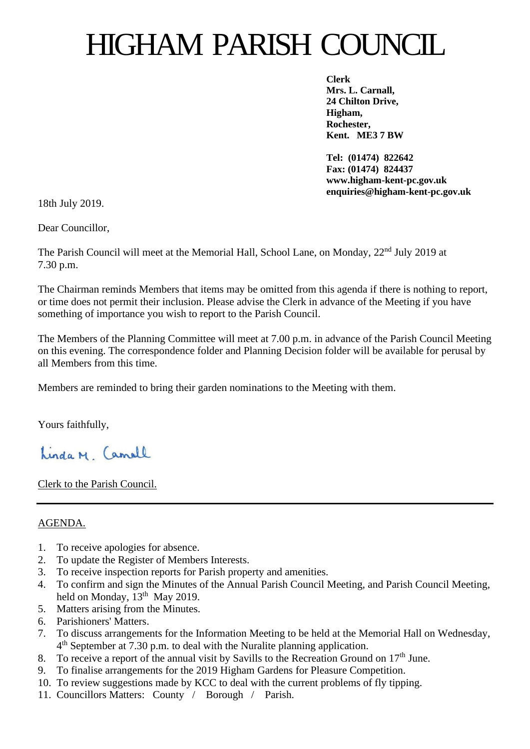# HIGHAM PARISH COUNCIL

**Clerk Mrs. L. Carnall, 24 Chilton Drive, Higham, Rochester, Kent. ME3 7 BW**

**Tel: (01474) 822642 Fax: (01474) 824437 www.higham-kent-pc.gov.uk enquiries@higham-kent-pc.gov.uk**

18th July 2019.

Dear Councillor,

The Parish Council will meet at the Memorial Hall, School Lane, on Monday, 22<sup>nd</sup> July 2019 at 7.30 p.m.

The Chairman reminds Members that items may be omitted from this agenda if there is nothing to report, or time does not permit their inclusion. Please advise the Clerk in advance of the Meeting if you have something of importance you wish to report to the Parish Council.

The Members of the Planning Committee will meet at 7.00 p.m. in advance of the Parish Council Meeting on this evening. The correspondence folder and Planning Decision folder will be available for perusal by all Members from this time.

Members are reminded to bring their garden nominations to the Meeting with them.

Yours faithfully,

Linda M. Camall

Clerk to the Parish Council.

### AGENDA.

- 1. To receive apologies for absence.
- 2. To update the Register of Members Interests.
- 3. To receive inspection reports for Parish property and amenities.
- 4. To confirm and sign the Minutes of the Annual Parish Council Meeting, and Parish Council Meeting, held on Monday, 13<sup>th</sup> May 2019.
- 5. Matters arising from the Minutes.
- 6. Parishioners' Matters.
- 7. To discuss arrangements for the Information Meeting to be held at the Memorial Hall on Wednesday, 4 th September at 7.30 p.m. to deal with the Nuralite planning application.
- 8. To receive a report of the annual visit by Savills to the Recreation Ground on  $17<sup>th</sup>$  June.
- 9. To finalise arrangements for the 2019 Higham Gardens for Pleasure Competition.
- 10. To review suggestions made by KCC to deal with the current problems of fly tipping.
- 11. Councillors Matters: County / Borough / Parish.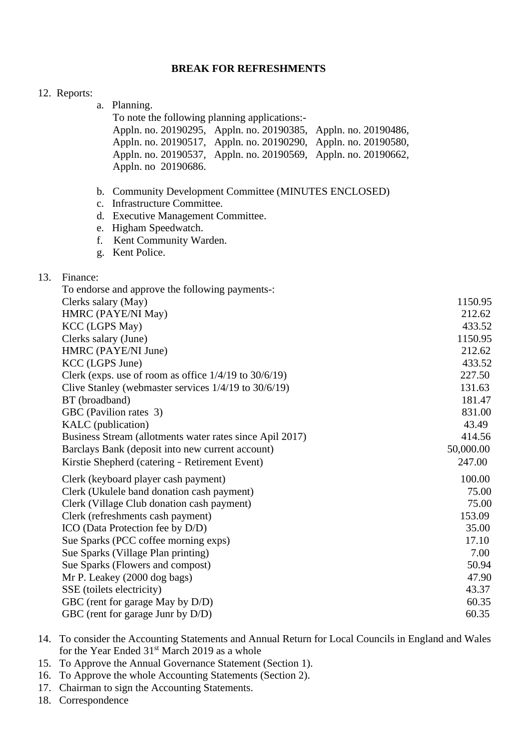### **BREAK FOR REFRESHMENTS**

|     | 12. Reports:                                                                                                                                |                                                                                                                                                                                                                                                                                                                                                                                                                                                                   |                                                                                                                                              |
|-----|---------------------------------------------------------------------------------------------------------------------------------------------|-------------------------------------------------------------------------------------------------------------------------------------------------------------------------------------------------------------------------------------------------------------------------------------------------------------------------------------------------------------------------------------------------------------------------------------------------------------------|----------------------------------------------------------------------------------------------------------------------------------------------|
|     |                                                                                                                                             | a. Planning.<br>To note the following planning applications:-<br>Appln. no. 20190295, Appln. no. 20190385, Appln. no. 20190486,<br>Appln. no. 20190517, Appln. no. 20190290, Appln. no. 20190580,<br>Appln. no. 20190537, Appln. no. 20190569, Appln. no. 20190662,<br>Appln. no 20190686.                                                                                                                                                                        |                                                                                                                                              |
|     | e.<br>f.<br>g.                                                                                                                              | b. Community Development Committee (MINUTES ENCLOSED)<br>c. Infrastructure Committee.<br>d. Executive Management Committee.<br>Higham Speedwatch.<br>Kent Community Warden.<br>Kent Police.                                                                                                                                                                                                                                                                       |                                                                                                                                              |
| 13. | Finance:<br>Clerks salary (May)<br><b>KCC</b> (LGPS May)<br>Clerks salary (June)<br>KCC (LGPS June)<br>BT (broadband)<br>KALC (publication) | To endorse and approve the following payments-:<br>HMRC (PAYE/NI May)<br>HMRC (PAYE/NI June)<br>Clerk (exps. use of room as office 1/4/19 to 30/6/19)<br>Clive Stanley (webmaster services $1/4/19$ to $30/6/19$ )<br>GBC (Pavilion rates 3)<br>Business Stream (allotments water rates since Apil 2017)<br>Barclays Bank (deposit into new current account)<br>Kirstie Shepherd (catering - Retirement Event)                                                    | 1150.95<br>212.62<br>433.52<br>1150.95<br>212.62<br>433.52<br>227.50<br>131.63<br>181.47<br>831.00<br>43.49<br>414.56<br>50,000.00<br>247.00 |
|     |                                                                                                                                             | Clerk (keyboard player cash payment)<br>Clerk (Ukulele band donation cash payment)<br>Clerk (Village Club donation cash payment)<br>Clerk (refreshments cash payment)<br>ICO (Data Protection fee by D/D)<br>Sue Sparks (PCC coffee morning exps)<br>Sue Sparks (Village Plan printing)<br>Sue Sparks (Flowers and compost)<br>Mr P. Leakey (2000 dog bags)<br>SSE (toilets electricity)<br>GBC (rent for garage May by D/D)<br>GBC (rent for garage Junr by D/D) | 100.00<br>75.00<br>75.00<br>153.09<br>35.00<br>17.10<br>7.00<br>50.94<br>47.90<br>43.37<br>60.35<br>60.35                                    |

- 14. To consider the Accounting Statements and Annual Return for Local Councils in England and Wales for the Year Ended 31<sup>st</sup> March 2019 as a whole
- 15. To Approve the Annual Governance Statement (Section 1).
- 16. To Approve the whole Accounting Statements (Section 2).
- 17. Chairman to sign the Accounting Statements.
- 18. Correspondence